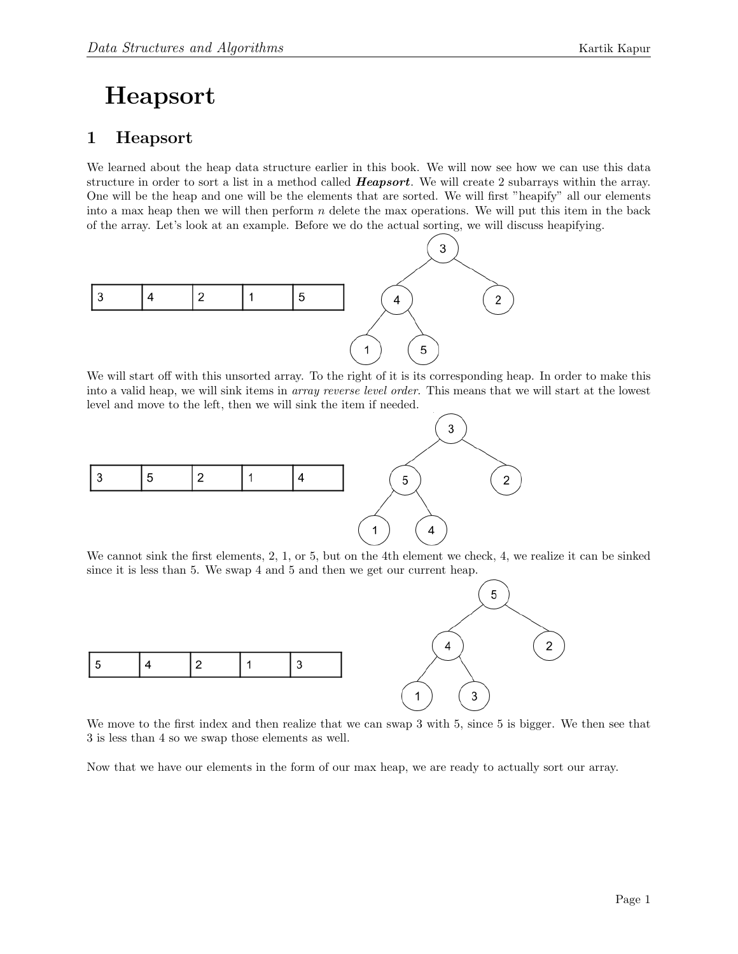## Heapsort

## 1 Heapsort

We learned about the heap data structure earlier in this book. We will now see how we can use this data structure in order to sort a list in a method called **Heapsort**. We will create 2 subarrays within the array. One will be the heap and one will be the elements that are sorted. We will first "heapify" all our elements into a max heap then we will then perform  $n$  delete the max operations. We will put this item in the back of the array. Let's look at an example. Before we do the actual sorting, we will discuss heapifying.



We will start off with this unsorted array. To the right of it is its corresponding heap. In order to make this into a valid heap, we will sink items in *array reverse level order*. This means that we will start at the lowest level and move to the left, then we will sink the item if needed.



We cannot sink the first elements, 2, 1, or 5, but on the 4th element we check, 4, we realize it can be sinked since it is less than 5. We swap 4 and 5 and then we get our current heap.



We move to the first index and then realize that we can swap 3 with 5, since 5 is bigger. We then see that 3 is less than 4 so we swap those elements as well.

Now that we have our elements in the form of our max heap, we are ready to actually sort our array.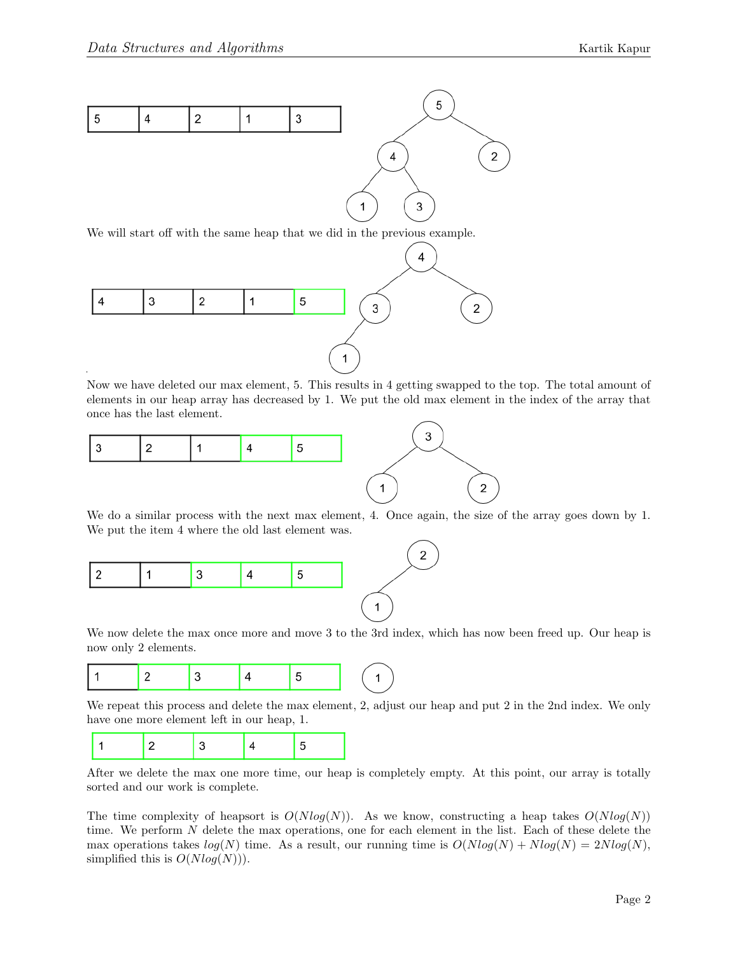

We will start off with the same heap that we did in the previous example.



Now we have deleted our max element, 5. This results in 4 getting swapped to the top. The total amount of elements in our heap array has decreased by 1. We put the old max element in the index of the array that once has the last element.



We do a similar process with the next max element, 4. Once again, the size of the array goes down by 1. We put the item 4 where the old last element was.



We now delete the max once more and move 3 to the 3rd index, which has now been freed up. Our heap is now only 2 elements.



We repeat this process and delete the max element, 2, adjust our heap and put 2 in the 2nd index. We only have one more element left in our heap, 1.



After we delete the max one more time, our heap is completely empty. At this point, our array is totally sorted and our work is complete.

The time complexity of heapsort is  $O(Nlog(N))$ . As we know, constructing a heap takes  $O(Nlog(N))$ time. We perform N delete the max operations, one for each element in the list. Each of these delete the max operations takes  $log(N)$  time. As a result, our running time is  $O(Nlog(N) + Nlog(N) = 2Nlog(N)$ , simplified this is  $O(Nlog(N))$ .